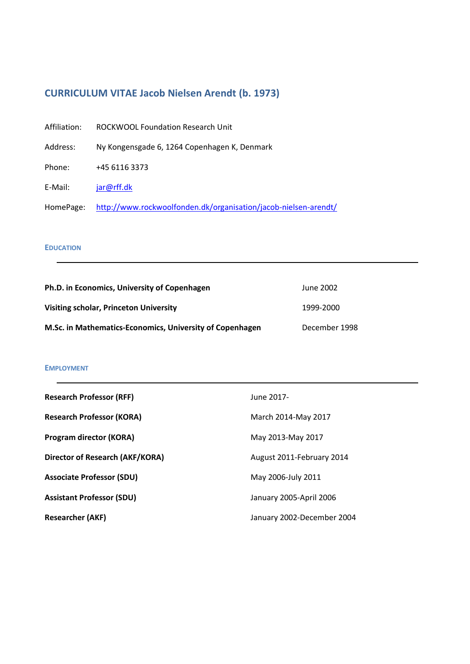# **CURRICULUM VITAE Jacob Nielsen Arendt (b. 1973)**

| Affiliation: | ROCKWOOL Foundation Research Unit                               |
|--------------|-----------------------------------------------------------------|
| Address:     | Ny Kongensgade 6, 1264 Copenhagen K, Denmark                    |
| Phone:       | +45 6116 3373                                                   |
| E-Mail:      | jar@rff.dk                                                      |
| HomePage:    | http://www.rockwoolfonden.dk/organisation/jacob-nielsen-arendt/ |

# **EDUCATION**

| Ph.D. in Economics, University of Copenhagen             | June 2002     |
|----------------------------------------------------------|---------------|
| Visiting scholar, Princeton University                   | 1999-2000     |
| M.Sc. in Mathematics-Economics, University of Copenhagen | December 1998 |

# **EMPLOYMENT**

| <b>Research Professor (RFF)</b>        | June 2017-                 |
|----------------------------------------|----------------------------|
| <b>Research Professor (KORA)</b>       | March 2014-May 2017        |
| <b>Program director (KORA)</b>         | May 2013-May 2017          |
| <b>Director of Research (AKF/KORA)</b> | August 2011-February 2014  |
| <b>Associate Professor (SDU)</b>       | May 2006-July 2011         |
| <b>Assistant Professor (SDU)</b>       | January 2005-April 2006    |
| <b>Researcher (AKF)</b>                | January 2002-December 2004 |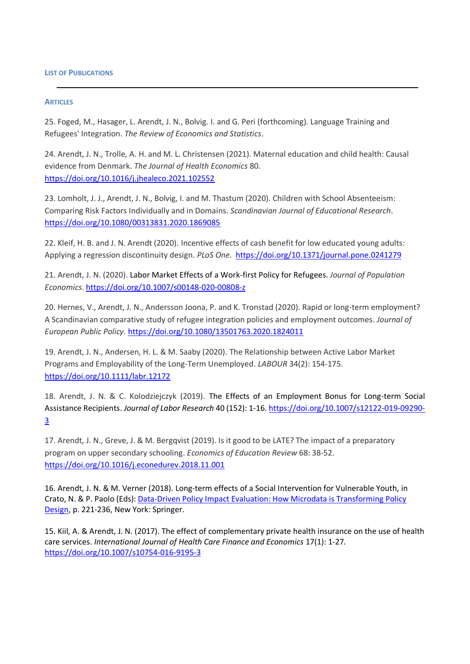#### **ARTICLES**

25. Foged, M., Hasager, L. Arendt, J. N., Bolvig. I. and G. Peri (forthcoming). Language Training and Refugees' Integration. *The Review of Economics and Statistics*.

24. Arendt, J. N., Trolle, A. H. and M. L. Christensen (2021). Maternal education and child health: Causal evidence from Denmark. *The Journal of Health Economics* 80. <https://doi.org/10.1016/j.jhealeco.2021.102552>

23. Lomholt, J. J., Arendt, J. N., Bolvig, I. and M. Thastum (2020). Children with School Absenteeism: Comparing Risk Factors Individually and in Domains. *Scandinavian Journal of Educational Research*. <https://doi.org/10.1080/00313831.2020.1869085>

22. Kleif, H. B. and J. N. Arendt (2020). Incentive effects of cash benefit for low educated young adults: Applying a regression discontinuity design. *PLoS One*.<https://doi.org/10.1371/journal.pone.0241279>

21. Arendt, J. N. (2020). Labor Market Effects of a Work-first Policy for Refugees. *Journal of Population Economics*. <https://doi.org/10.1007/s00148-020-00808-z>

20. Hernes, V., Arendt, J. N., Andersson Joona, P. and K. Tronstad (2020). Rapid or long-term employment? A Scandinavian comparative study of refugee integration policies and employment outcomes. *Journal of European Public Policy.* <https://doi.org/10.1080/13501763.2020.1824011>

19. Arendt, J. N., Andersen, H. L. & M. Saaby (2020). The Relationship between Active Labor Market Programs and Employability of the Long‐Term Unemployed. *LABOUR* 34(2): 154-175. <https://doi.org/10.1111/labr.12172>

18. Arendt, J. N. & C. Kolodziejczyk (2019). The Effects of an Employment Bonus for Long-term Social Assistance Recipients. *Journal of Labor Research* 40 (152): 1-16. [https://doi.org/10.1007/s12122-019-09290-](https://doi.org/10.1007/s12122-019-09290-3) [3](https://doi.org/10.1007/s12122-019-09290-3)

17. Arendt, J. N., Greve, J. & M. Bergqvist (2019). Is it good to be LATE? The impact of a preparatory program on upper secondary schooling. *Economics of Education Review* 68: 38-52. <https://doi.org/10.1016/j.econedurev.2018.11.001>

16. Arendt, J. N. & M. Verner (2018). Long-term effects of a Social Intervention for Vulnerable Youth, in Crato, N. & P. Paolo (Eds): Data-Driven Policy Impact Evaluation: How Microdata is Transforming Policy [Design,](https://link.springer.com/book/10.1007%2F978-3-319-78461-8) p. 221-236, New York: Springer.

15. Kiil, A. & Arendt, J. N. (2017). The effect of complementary private health insurance on the use of health care services. *International Journal of Health Care Finance and Economics* 17(1): 1-27*.* <https://doi.org/10.1007/s10754-016-9195-3>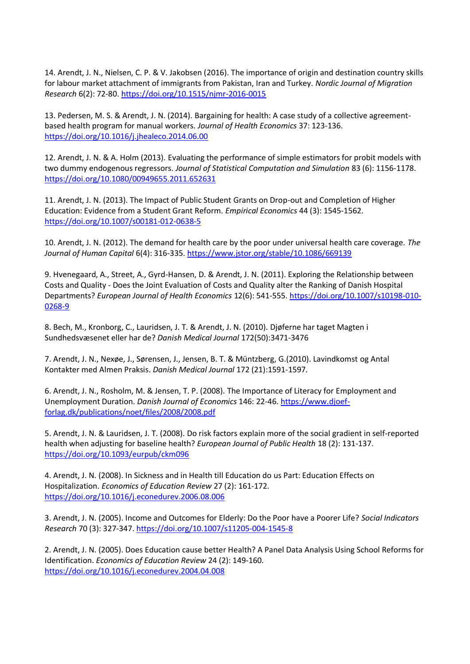14. Arendt, J. N., Nielsen, C. P. & V. Jakobsen (2016). The importance of origin and destination country skills for labour market attachment of immigrants from Pakistan, Iran and Turkey. *Nordic Journal of Migration Research* 6(2): 72-80. <https://doi.org/10.1515/njmr-2016-0015>

13. Pedersen, M. S. & Arendt, J. N. (2014). Bargaining for health: A case study of a collective agreementbased health program for manual workers. *Journal of Health Economics* 37: 123-136. <https://doi.org/10.1016/j.jhealeco.2014.06.00>

12. Arendt, J. N. & A. Holm (2013). Evaluating the performance of simple estimators for probit models with two dummy endogenous regressors. *Journal of Statistical Computation and Simulation* 83 (6): 1156-1178. <https://doi.org/10.1080/00949655.2011.652631>

11. Arendt, J. N. (2013). The Impact of Public Student Grants on Drop-out and Completion of Higher Education: Evidence from a Student Grant Reform. *Empirical Economics* 44 (3): 1545-1562. <https://doi.org/10.1007/s00181-012-0638-5>

10. Arendt, J. N. (2012). The demand for health care by the poor under universal health care coverage. *The Journal of Human Capital* 6(4): 316-335. <https://www.jstor.org/stable/10.1086/669139>

9. Hvenegaard, A., Street, A., Gyrd-Hansen, D. & Arendt, J. N. (2011). Exploring the Relationship between Costs and Quality - Does the Joint Evaluation of Costs and Quality alter the Ranking of Danish Hospital Departments? *European Journal of Health Economics* 12(6): 541-555. [https://doi.org/10.1007/s10198-010-](https://doi.org/10.1007/s10198-010-0268-9) [0268-9](https://doi.org/10.1007/s10198-010-0268-9)

8. Bech, M., Kronborg, C., Lauridsen, J. T. & Arendt, J. N. (2010). Djøferne har taget Magten i Sundhedsvæsenet eller har de? *Danish Medical Journal* 172(50):3471-3476

7. Arendt, J. N., Nexøe, J., Sørensen, J., Jensen, B. T. & Müntzberg, G.(2010). Lavindkomst og Antal Kontakter med Almen Praksis. *Danish Medical Journal* 172 (21):1591-1597.

6. Arendt, J. N., Rosholm, M. & Jensen, T. P. (2008). The Importance of Literacy for Employment and Unemployment Duration. *Danish Journal of Economics* 146: 22-46. [https://www.djoef](https://www.djoef-forlag.dk/publications/noet/files/2008/2008.pdf)[forlag.dk/publications/noet/files/2008/2008.pdf](https://www.djoef-forlag.dk/publications/noet/files/2008/2008.pdf)

5. Arendt, J. N. & Lauridsen, J. T. (2008). Do risk factors explain more of the social gradient in self-reported health when adjusting for baseline health? *European Journal of Public Health* 18 (2): 131-137. <https://doi.org/10.1093/eurpub/ckm096>

4. Arendt, J. N. (2008). In Sickness and in Health till Education do us Part: Education Effects on Hospitalization. *Economics of Education Review* 27 (2): 161-172. <https://doi.org/10.1016/j.econedurev.2006.08.006>

3. Arendt, J. N. (2005). Income and Outcomes for Elderly: Do the Poor have a Poorer Life? *Social Indicators Research* 70 (3): 327-347. <https://doi.org/10.1007/s11205-004-1545-8>

2. Arendt, J. N. (2005). Does Education cause better Health? A Panel Data Analysis Using School Reforms for Identification. *Economics of Education Review* 24 (2): 149-160. <https://doi.org/10.1016/j.econedurev.2004.04.008>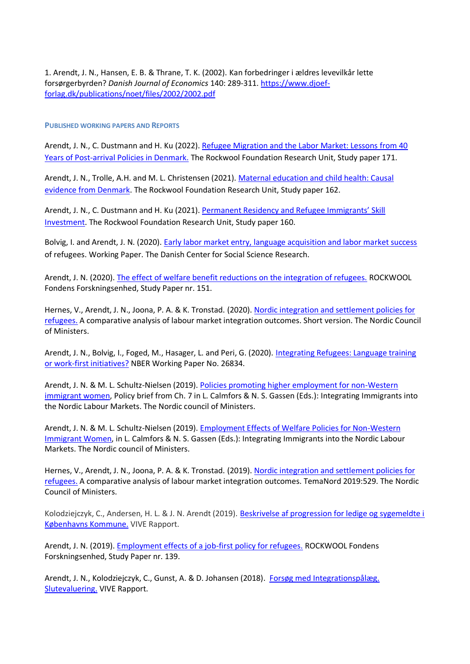1. Arendt, J. N., Hansen, E. B. & Thrane, T. K. (2002). Kan forbedringer i ældres levevilkår lette forsørgerbyrden? *Danish Journal of Economics* 140: 289-311. [https://www.djoef](https://www.djoef-forlag.dk/publications/noet/files/2002/2002.pdf)[forlag.dk/publications/noet/files/2002/2002.pdf](https://www.djoef-forlag.dk/publications/noet/files/2002/2002.pdf)

#### **PUBLISHED WORKING PAPERS AND REPORTS**

Arendt, J. N., C. Dustmann and H. Ku (2022). [Refugee Migration and the Labor Market: Lessons from 40](https://cream-migration.org/publ_uploads/CDP_09_22.pdf)  [Years of Post-arrival Policies in Denmark.](https://cream-migration.org/publ_uploads/CDP_09_22.pdf) The Rockwool Foundation Research Unit, Study paper 171.

Arendt, J. N., Trolle, A.H. and M. L. Christensen (2021). [Maternal education and child health: Causal](https://www.rockwoolfonden.dk/app/uploads/2021/09/RF-Study-paper-162-Maternal-education-and-child-health-October-2021.pdf)  [evidence from Denmark.](https://www.rockwoolfonden.dk/app/uploads/2021/09/RF-Study-paper-162-Maternal-education-and-child-health-October-2021.pdf) The Rockwool Foundation Research Unit, Study paper 162.

Arendt, J. N., C. Dustmann and H. Ku (2021). Permanent Residency [and Refugee Immigrants' Skill](https://www.rockwoolfonden.dk/app/uploads/2021/06/RFF-Study-paper-161-Permanent-residency-and-refugee-immigrants-skill-investment.pdf)  [Investment.](https://www.rockwoolfonden.dk/app/uploads/2021/06/RFF-Study-paper-161-Permanent-residency-and-refugee-immigrants-skill-investment.pdf) The Rockwool Foundation Research Unit, Study paper 160.

Bolvig, I. and Arendt, J. N. (2020). [Early labor market entry, language acquisition and labor market success](https://www.vive.dk/media/pure/15357/4639057) of refugees. Working Paper. The Danish Center for Social Science Research.

Arendt, J. N. (2020). [The effect of welfare benefit reductions on the integration of refugees.](https://www.rockwoolfonden.dk/app/uploads/2020/04/RF-Study-paper-151_Impact-of-integration-benefits.pdf) ROCKWOOL Fondens Forskningsenhed, Study Paper nr. 151.

Hernes, V., Arendt, J. N., Joona, P. A. & K. Tronstad. (2020). [Nordic integration and settlement policies for](https://pub.norden.org/nord2020-026/nord2020-026.pdf)  [refugees.](https://pub.norden.org/nord2020-026/nord2020-026.pdf) A comparative analysis of labour market integration outcomes. Short version. The Nordic Council of Ministers.

Arendt, J. N., Bolvig, I., Foged, M., Hasager, L. and Peri, G. (2020). [Integrating Refugees: Language training](https://www.nber.org/papers/w26834.pdf)  [or work-first initiatives?](https://www.nber.org/papers/w26834.pdf) NBER Working Paper No. 26834.

Arendt, J. N. & M. L. Schultz-Nielsen (2019). [Policies promoting higher employment for non-Western](https://nordregio.org/wp-content/uploads/2019/05/FINAL-PB-Nielsen-Arendt-and-Schultz-Nielsen.pdf)  [immigrant women,](https://nordregio.org/wp-content/uploads/2019/05/FINAL-PB-Nielsen-Arendt-and-Schultz-Nielsen.pdf) Policy brief from Ch. 7 in L. Calmfors & N. S. Gassen (Eds.): Integrating Immigrants into the Nordic Labour Markets. The Nordic council of Ministers.

Arendt, J. N. & M. L. Schultz-Nielsen (2019). [Employment Effects of Welfare Policies for Non-Western](http://norden.diva-portal.org/smash/get/diva2:1317928/FULLTEXT01.pdf)  [Immigrant Women,](http://norden.diva-portal.org/smash/get/diva2:1317928/FULLTEXT01.pdf) in L. Calmfors & N. S. Gassen (Eds.): Integrating Immigrants into the Nordic Labour Markets. The Nordic council of Ministers.

Hernes, V., Arendt, J. N., Joona, P. A. & K. Tronstad. (2019). [Nordic integration and settlement policies for](http://norden.diva-portal.org/smash/get/diva2:1306724/FULLTEXT01.pdf)  [refugees.](http://norden.diva-portal.org/smash/get/diva2:1306724/FULLTEXT01.pdf) A comparative analysis of labour market integration outcomes. TemaNord 2019:529. The Nordic Council of Ministers.

Kolodziejczyk, C., Andersen, H. L. & J. N. Arendt (2019). [Beskrivelse af progression for ledige og sygemeldte i](https://www.vive.dk/media/pure/14229/3362180)  [Københavns Kommune.](https://www.vive.dk/media/pure/14229/3362180) VIVE Rapport.

Arendt, J. N. (2019). [Employment effects of a job-first policy for refugees.](https://www.rockwoolfonden.dk/app/uploads/2019/04/Study-Paper-139_Employment-effects-of-a-job-first-policy-for-refugees.pdf) ROCKWOOL Fondens Forskningsenhed, Study Paper nr. 139.

Arendt, J. N., Kolodziejczyk, C., Gunst, A. & D. Johansen (2018). [Forsøg med Integrationspålæg.](https://www.vive.dk/media/pure/11021/2302465)  [Slutevaluering.](https://www.vive.dk/media/pure/11021/2302465) VIVE Rapport.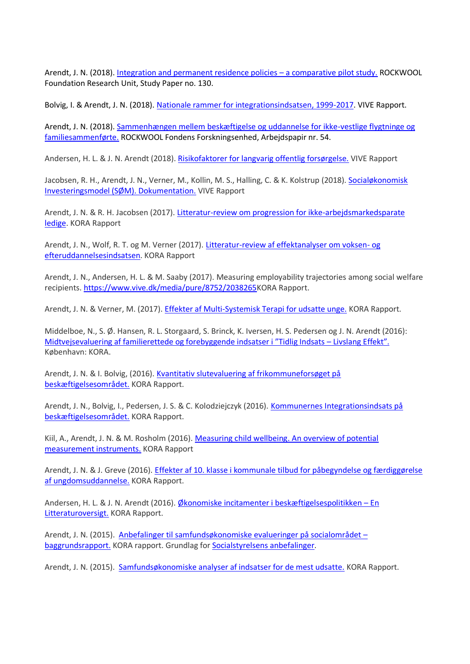Arendt, J. N. (2018). [Integration and permanent residence policies](https://www.rockwoolfonden.dk/app/uploads/2018/10/Study-paper-130_Integration-and-permanent-residence-policies.pdf) – a comparative pilot study. ROCKWOOL Foundation Research Unit, Study Paper no. 130.

Bolvig, I. & Arendt, J. N. (2018). [Nationale rammer for integrationsindsatsen, 1999-2017.](https://www.vive.dk/media/pure/10808/2302567) VIVE Rapport.

Arendt, J. N. (2018). [Sammenhængen mellem beskæftigelse og uddannelse for ikke-vestlige flygtninge og](https://www.rockwoolfonden.dk/app/uploads/2018/06/Arbejdspapir-54-Sammenh%C3%A6ngen-mellem-besk%C3%A6ftigelse-og-uddannelse.pdf)  [familiesammenførte.](https://www.rockwoolfonden.dk/app/uploads/2018/06/Arbejdspapir-54-Sammenh%C3%A6ngen-mellem-besk%C3%A6ftigelse-og-uddannelse.pdf) ROCKWOOL Fondens Forskningsenhed, Arbejdspapir nr. 54.

Andersen, H. L. & J. N. Arendt (2018). [Risikofaktorer for langvarig offentlig forsørgelse.](https://www.vive.dk/media/pure/11183/2306088) VIVE Rapport

Jacobsen, R. H., Arendt, J. N., Verner, M., Kollin, M. S., Halling, C. & K. Kolstrup (2018). Socialøkonomisk [Investeringsmodel \(SØM\). Dokumentation.](https://www.vive.dk/media/pure/11230/2309698) VIVE Rapport

Arendt, J. N. & R. H. Jacobsen (2017). [Litteratur-review om progression for ikke-arbejdsmarkedsparate](https://www.vive.dk/media/pure/8701/2037616)  [ledige.](https://www.vive.dk/media/pure/8701/2037616) KORA Rapport

Arendt, J. N., Wolf, R. T. og M. Verner (2017). [Litteratur-review af effektanalyser om voksen-](https://www.vive.dk/media/pure/8737/2038088) og [efteruddannelsesindsatsen.](https://www.vive.dk/media/pure/8737/2038088) KORA Rapport

Arendt, J. N., Andersen, H. L. & M. Saaby (2017). Measuring employability trajectories among social welfare recipients. [https://www.vive.dk/media/pure/8752/2038265K](https://www.vive.dk/media/pure/8752/2038265)ORA Rapport.

Arendt, J. N. & Verner, M. (2017)[. Effekter af Multi-Systemisk Terapi for udsatte unge.](https://www.vive.dk/media/pure/8401/2033646) KORA Rapport.

Middelboe, N., S. Ø. Hansen, R. L. Storgaard, S. Brinck, K. Iversen, H. S. Pedersen og J. N. Arendt (2016): [Midtvejsevaluering af familierettede og forebyggende indsatser i "Tidlig Indsats –](https://www.vive.dk/media/pure/7031/2300528) Livslang Effekt". København: KORA.

Arendt, J. N. & I. Bolvig, (2016). [Kvantitativ slutevaluering af frikommuneforsøget på](https://www.vive.dk/media/pure/8814/2039145)  [beskæftigelsesområdet.](https://www.vive.dk/media/pure/8814/2039145) KORA Rapport.

Arendt, J. N., Bolvig, I., Pedersen, J. S. & C. Kolodziejczyk (2016). [Kommunernes Integrationsindsats på](https://www.vive.dk/media/pure/8883/2040299)  [beskæftigelsesområdet.](https://www.vive.dk/media/pure/8883/2040299) KORA Rapport.

Kiil, A., Arendt, J. N. & M. Rosholm (2016). [Measuring child wellbeing. An overview of potential](https://pure.vive.dk/ws/files/2040048/10726_measuring_child_well-being.pdf)  [measurement instruments.](https://pure.vive.dk/ws/files/2040048/10726_measuring_child_well-being.pdf) KORA Rapport

Arendt, J. N. & J. Greve (2016). [Effekter af 10. klasse i kommunale tilbud for påbegyndelse og færdiggørelse](https://www.vive.dk/media/pure/8889/2040379)  [af ungdomsuddannelse.](https://www.vive.dk/media/pure/8889/2040379) KORA Rapport.

Andersen, H. L. & J. N. Arendt (2016). [Økonomiske incitamenter i beskæftigelsespolitikken](https://www.vive.dk/media/pure/8900/2040502) – En [Litteraturoversigt.](https://www.vive.dk/media/pure/8900/2040502) KORA Rapport.

Arendt, J. N. (2015). [Anbefalinger til samfundsøkonomiske evalueringer på socialområdet](https://www.vive.dk/media/pure/8957/2041520) – [baggrundsrapport.](https://www.vive.dk/media/pure/8957/2041520) KORA rapport. Grundlag for [Socialstyrelsens anbefalinger.](https://pure.vive.dk/ws/files/2480319/anbefalinger_til_samfundsoekonomiske_evalueringer_paa_socialomraadet_socialstyrelsen_2015_2_.pdf)

Arendt, J. N. (2015). [Samfundsøkonomiske analyser af indsatser for de mest udsatte.](https://www.udsatte.dk/dyn/resources/Publication/file/9/69/1446413466/endelig-rapport-10836_indsatser-for-de-mest-udsatte.pdf) KORA Rapport.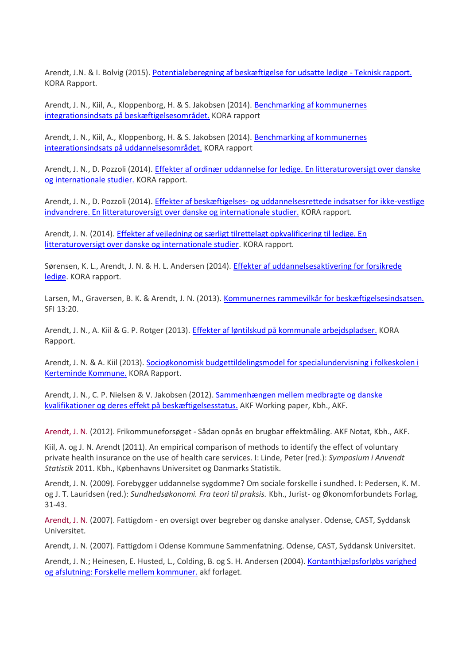Arendt, J.N. & I. Bolvig (2015). [Potentialeberegning af beskæftigelse for udsatte ledige -](https://pure.vive.dk/ws/files/2042282/10734_potentiale_udsatte_ledige_tekniskrapport.pdf) Teknisk rapport. KORA Rapport.

Arendt, J. N., Kiil, A., Kloppenborg, H. & S. Jakobsen (2014). [Benchmarking af kommunernes](https://www.vive.dk/media/pure/9060/2043129)  [integrationsindsats på beskæftigelsesområdet.](https://www.vive.dk/media/pure/9060/2043129) KORA rapport

Arendt, J. N., Kiil, A., Kloppenborg, H. & S. Jakobsen (2014). [Benchmarking af kommunernes](https://www.vive.dk/media/pure/9058/2043107)  [integrationsindsats på uddannelsesområdet.](https://www.vive.dk/media/pure/9058/2043107) KORA rapport

Arendt, J. N., D. Pozzoli (2014). [Effekter af ordinær uddannelse for ledige. En litteraturoversigt over danske](https://star.dk/media/1290/effekter-af-ordinaer-uddannelse.pdf)  [og internationale studier.](https://star.dk/media/1290/effekter-af-ordinaer-uddannelse.pdf) KORA rapport.

Arendt, J. N., D. Pozzoli (2014). Effekter af beskæftigelses- og uddannelsesrettede indsatser for ikke-vestlige [indvandrere. En litteraturoversigt over danske og internationale studier.](https://www.vive.dk/media/pure/9068/2043272) KORA rapport.

Arendt, J. N. (2014). [Effekter af vejledning og særligt tilrettelagt opkvalificering til ledige. En](https://star.dk/media/1289/effekter-af-kurser-med-vejledning-og-saerligt-tilrettelagt-opkvalificering-for-ledige.pdf)  [litteraturoversigt over danske og internationale studier.](https://star.dk/media/1289/effekter-af-kurser-med-vejledning-og-saerligt-tilrettelagt-opkvalificering-for-ledige.pdf) KORA rapport.

Sørensen, K. L., Arendt, J. N. & H. L. Andersen (2014). [Effekter af uddannelsesaktivering](https://www.vive.dk/media/pure/9071/2043316) for forsikrede [ledige.](https://www.vive.dk/media/pure/9071/2043316) KORA rapport.

Larsen, M., Graversen, B. K. & Arendt, J. N. (2013). [Kommunernes rammevilkår for beskæftigelsesindsatsen.](https://www.vive.dk/media/pure/8146/275417) SFI 13:20.

Arendt, J. N., A. Kiil & G. P. Rotger (2013). [Effekter af løntilskud på kommunale arbejdspladser.](https://www.vive.dk/media/pure/9137/2049690) KORA Rapport.

Arendt, J. N. & A. Kiil (2013). [Socioøkonomisk budgettildelingsmodel for specialundervisning i folkeskolen i](https://www.vive.dk/media/pure/9144/2049808)  [Kerteminde Kommune.](https://www.vive.dk/media/pure/9144/2049808) KORA Rapport.

Arendt, J. N., C. P. Nielsen & V. Jakobsen (2012). [Sammenhængen mellem medbragte og danske](https://www.vive.dk/media/pure/9870/2078216)  [kvalifikationer og deres effekt på beskæftigelsesstatus.](https://www.vive.dk/media/pure/9870/2078216) AKF Working paper, Kbh., AKF.

[Arendt, J. N.](http://www.akf.dk/medarbejdere/jacob_nielsen_arendt_/) (2012). Frikommuneforsøget - [Sådan opnås en brugbar effektmåling.](http://www.akf.dk/udgivelser/container/2012/1011/) AKF Notat, Kbh., AKF.

Kiil, A. og [J. N. Arendt](http://www.akf.dk/medarbejdere/jacob_nielsen_arendt_/) (2011). [An empirical comparison of methods to identify the effect of voluntary](http://www.akf.dk/udgivelser/container/2011/udgivelse_1157/)  [private health insurance on the use of health care services.](http://www.akf.dk/udgivelser/container/2011/udgivelse_1157/) I: Linde, Peter (red.): *Symposium i Anvendt Statistik* 2011. Kbh., Københavns Universitet og Danmarks Statistik.

[Arendt, J. N.](http://www.akf.dk/medarbejdere/jacob_nielsen_arendt_/) (2009). [Forebygger uddannelse sygdomme? Om sociale forskelle i sundhed.](http://www.akf.dk/udgivelser/container/2009/udgivelse_2796/) I: Pedersen, K. M. og J. T. Lauridsen (red.): *Sundhedsøkonomi. Fra teori til praksis.* Kbh., Jurist- og Økonomforbundets Forlag, 31-43.

[Arendt, J. N.](http://www.akf.dk/medarbejdere/jacob_nielsen_arendt_/) (2007). Fattigdom - [en oversigt over begreber og danske analyser.](http://www.akf.dk/udgivelser/container/2007/udgivelse_2597/) Odense, CAST, Syddansk Universitet.

[Arendt, J. N.](http://www.akf.dk/medarbejdere/jacob_nielsen_arendt_/) (2007). [Fattigdom i Odense Kommune Sammenfatning.](http://www.akf.dk/udgivelser/container/2007/udgivelse_2596/) Odense, CAST, Syddansk Universitet.

[Arendt, J. N.;](http://www.akf.dk/medarbejdere/jacob_nielsen_arendt_/) [Heinesen,](http://www.akf.dk/medarbejdere/eskil_heinesen/) E. Husted, L., Colding, B. og S. H. Andersen (2004). [Kontanthjælpsforløbs varighed](https://www.vive.dk/media/pure/9569/2057401)  [og afslutning: Forskelle mellem kommuner.](https://www.vive.dk/media/pure/9569/2057401) akf forlaget.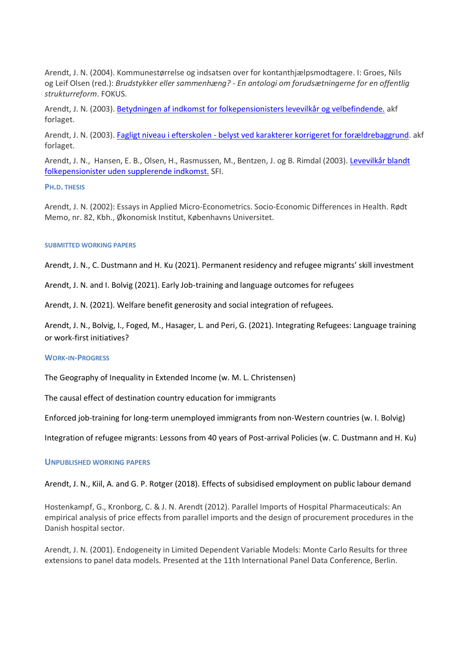[Arendt, J. N.](http://www.akf.dk/medarbejdere/jacob_nielsen_arendt_/) (2004). [Kommunestørrelse og indsatsen over for kontanthjælpsmodtagere.](http://www.akf.dk/udgivelser/container/2006/udgivelse_1682/) I: Groes, Nils og [Leif Olsen](http://www.akf.dk/medarbejdere/leif_olsen/) (red.): *Brudstykker eller sammenhæng? - En antologi om forudsætningerne for en offentlig strukturreform*. FOKUS.

[Arendt, J. N.](http://www.akf.dk/medarbejdere/jacob_nielsen_arendt_/) (2003). [Betydningen af indkomst for folkepensionisters levevilkår og velbefindende.](https://www.vive.dk/media/pure/9610/2058074) akf forlaget.

Arendt, J. N. (2003). Fagligt niveau i efterskolen - [belyst ved karakterer korrigeret for forældrebaggrund.](https://www.vive.dk/media/pure/9638/2058520) akf forlaget.

[Arendt, J. N.,](http://www.akf.dk/medarbejdere/jacob_nielsen_arendt_/) [Hansen,](http://www.akf.dk/medarbejdere/eigil_boll_hansen/) E. B., Olsen, H., Rasmussen, M., Bentzen, J. og B. Rimdal (2003). [Levevilkår blandt](https://pure.vive.dk/ws/files/321729/0315folkepensionister.pdf)  [folkepensionister uden supplerende indkomst.](https://pure.vive.dk/ws/files/321729/0315folkepensionister.pdf) SFI.

# **PH.D. THESIS**

[Arendt, J](http://www.akf.dk/medarbejdere/jacob_nielsen_arendt_/). N. (2002): [Essays in Applied Micro-Econometrics.](http://www.akf.dk/udgivelser/container/2002/udgivelse_2525/) Socio-Economic Differences in Health. Rødt Memo, nr. 82, Kbh., Økonomisk Institut, Københavns Universitet.

#### **SUBMITTED WORKING PAPERS**

Arendt, J. N., C. Dustmann and H. Ku (2021). Permanent residency and refugee migrants' skill investment

Arendt, J. N. and I. Bolvig (2021). Early Job-training and language outcomes for refugees

Arendt, J. N. (2021). Welfare benefit generosity and social integration of refugees.

Arendt, J. N., Bolvig, I., Foged, M., Hasager, L. and Peri, G. (2021). Integrating Refugees: Language training or work-first initiatives?

#### **WORK-IN-PROGRESS**

The Geography of Inequality in Extended Income (w. M. L. Christensen)

The causal effect of destination country education for immigrants

Enforced job-training for long-term unemployed immigrants from non-Western countries (w. I. Bolvig)

Integration of refugee migrants: Lessons from 40 years of Post-arrival Policies (w. C. Dustmann and H. Ku)

#### **UNPUBLISHED WORKING PAPERS**

Arendt, J. N., Kiil, A. and G. P. Rotger (2018). Effects of subsidised employment on public labour demand

Hostenkampf, G., Kronborg, C. & J. N. Arendt (2012). Parallel Imports of Hospital Pharmaceuticals: An empirical analysis of price effects from parallel imports and the design of procurement procedures in the Danish hospital sector.

Arendt, J. N. (2001). Endogeneity in Limited Dependent Variable Models: Monte Carlo Results for three extensions to panel data models. Presented at the 11th International Panel Data Conference, Berlin.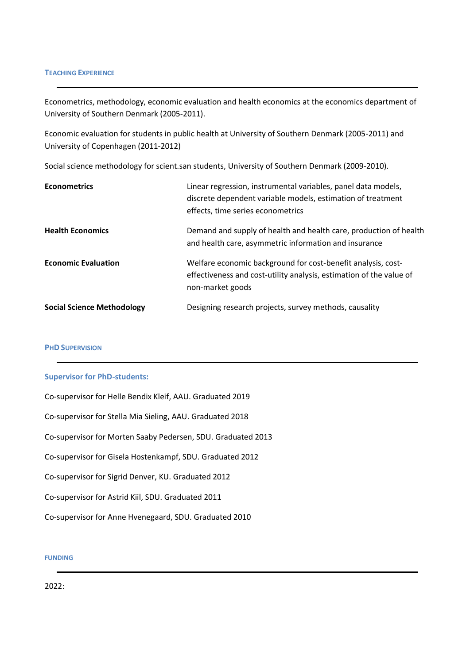Econometrics, methodology, economic evaluation and health economics at the economics department of University of Southern Denmark (2005-2011).

Economic evaluation for students in public health at University of Southern Denmark (2005-2011) and University of Copenhagen (2011-2012)

Social science methodology for scient.san students, University of Southern Denmark (2009-2010).

| <b>Econometrics</b>               | Linear regression, instrumental variables, panel data models,<br>discrete dependent variable models, estimation of treatment<br>effects, time series econometrics |
|-----------------------------------|-------------------------------------------------------------------------------------------------------------------------------------------------------------------|
| <b>Health Economics</b>           | Demand and supply of health and health care, production of health<br>and health care, asymmetric information and insurance                                        |
| <b>Economic Evaluation</b>        | Welfare economic background for cost-benefit analysis, cost-<br>effectiveness and cost-utility analysis, estimation of the value of<br>non-market goods           |
| <b>Social Science Methodology</b> | Designing research projects, survey methods, causality                                                                                                            |

#### **PHD SUPERVISION**

## **Supervisor for PhD-students:**

| Co-supervisor for Helle Bendix Kleif, AAU. Graduated 2019    |
|--------------------------------------------------------------|
| Co-supervisor for Stella Mia Sieling, AAU. Graduated 2018    |
| Co-supervisor for Morten Saaby Pedersen, SDU. Graduated 2013 |
| Co-supervisor for Gisela Hostenkampf, SDU. Graduated 2012    |
| Co-supervisor for Sigrid Denver, KU. Graduated 2012          |
| Co-supervisor for Astrid Kiil, SDU. Graduated 2011           |
| Co-supervisor for Anne Hvenegaard, SDU. Graduated 2010       |

## **FUNDING**

2022: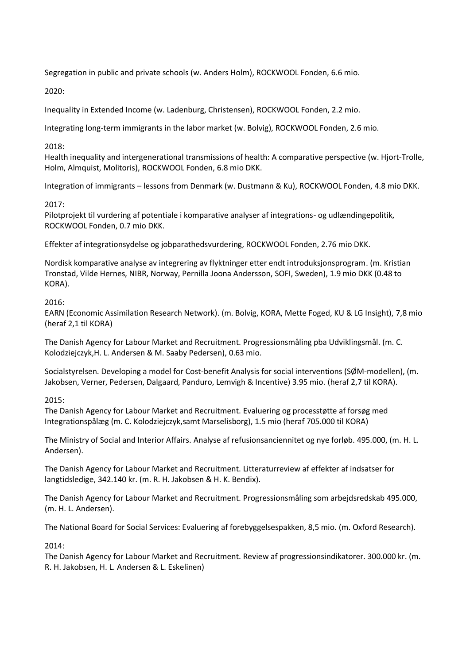Segregation in public and private schools (w. Anders Holm), ROCKWOOL Fonden, 6.6 mio.

2020:

Inequality in Extended Income (w. Ladenburg, Christensen), ROCKWOOL Fonden, 2.2 mio.

Integrating long-term immigrants in the labor market (w. Bolvig), ROCKWOOL Fonden, 2.6 mio.

# 2018:

Health inequality and intergenerational transmissions of health: A comparative perspective (w. Hjort-Trolle, Holm, Almquist, Molitoris), ROCKWOOL Fonden, 6.8 mio DKK.

Integration of immigrants – lessons from Denmark (w. Dustmann & Ku), ROCKWOOL Fonden, 4.8 mio DKK.

# 2017:

Pilotprojekt til vurdering af potentiale i komparative analyser af integrations- og udlændingepolitik, ROCKWOOL Fonden, 0.7 mio DKK.

Effekter af integrationsydelse og jobparathedsvurdering, ROCKWOOL Fonden, 2.76 mio DKK.

Nordisk komparative analyse av integrering av flyktninger etter endt introduksjonsprogram. (m. Kristian Tronstad, Vilde Hernes, NIBR, Norway, Pernilla Joona Andersson, SOFI, Sweden), 1.9 mio DKK (0.48 to KORA).

# 2016:

EARN (Economic Assimilation Research Network). (m. Bolvig, KORA, Mette Foged, KU & LG Insight), 7,8 mio (heraf 2,1 til KORA)

The Danish Agency for Labour Market and Recruitment. Progressionsmåling pba Udviklingsmål. (m. C. Kolodziejczyk,H. L. Andersen & M. Saaby Pedersen), 0.63 mio.

Socialstyrelsen. Developing a model for Cost-benefit Analysis for social interventions (SØM-modellen), (m. Jakobsen, Verner, Pedersen, Dalgaard, Panduro, Lemvigh & Incentive) 3.95 mio. (heraf 2,7 til KORA).

2015:

The Danish Agency for Labour Market and Recruitment. Evaluering og processtøtte af forsøg med Integrationspålæg (m. C. Kolodziejczyk,samt Marselisborg), 1.5 mio (heraf 705.000 til KORA)

The Ministry of Social and Interior Affairs. Analyse af refusionsanciennitet og nye forløb. 495.000, (m. H. L. Andersen).

The Danish Agency for Labour Market and Recruitment. Litteraturreview af effekter af indsatser for langtidsledige, 342.140 kr. (m. R. H. Jakobsen & H. K. Bendix).

The Danish Agency for Labour Market and Recruitment. Progressionsmåling som arbejdsredskab 495.000, (m. H. L. Andersen).

The National Board for Social Services: Evaluering af forebyggelsespakken, 8,5 mio. (m. Oxford Research).

2014:

The Danish Agency for Labour Market and Recruitment. Review af progressionsindikatorer. 300.000 kr. (m. R. H. Jakobsen, H. L. Andersen & L. Eskelinen)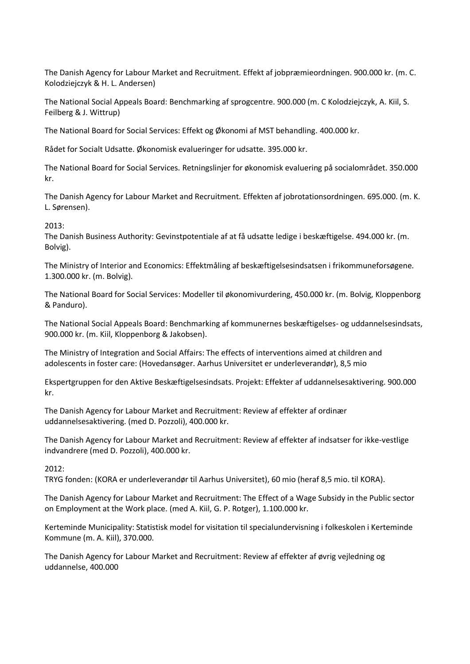The Danish Agency for Labour Market and Recruitment. Effekt af jobpræmieordningen. 900.000 kr. (m. C. Kolodziejczyk & H. L. Andersen)

The National Social Appeals Board: Benchmarking af sprogcentre. 900.000 (m. C Kolodziejczyk, A. Kiil, S. Feilberg & J. Wittrup)

The National Board for Social Services: Effekt og Økonomi af MST behandling. 400.000 kr.

Rådet for Socialt Udsatte. Økonomisk evalueringer for udsatte. 395.000 kr.

The National Board for Social Services. Retningslinjer for økonomisk evaluering på socialområdet. 350.000 kr.

The Danish Agency for Labour Market and Recruitment. Effekten af jobrotationsordningen. 695.000. (m. K. L. Sørensen).

2013:

The Danish Business Authority: Gevinstpotentiale af at få udsatte ledige i beskæftigelse. 494.000 kr. (m. Bolvig).

The Ministry of Interior and Economics: Effektmåling af beskæftigelsesindsatsen i frikommuneforsøgene. 1.300.000 kr. (m. Bolvig).

The National Board for Social Services: Modeller til økonomivurdering, 450.000 kr. (m. Bolvig, Kloppenborg & Panduro).

The National Social Appeals Board: Benchmarking af kommunernes beskæftigelses- og uddannelsesindsats, 900.000 kr. (m. Kiil, Kloppenborg & Jakobsen).

The Ministry of Integration and Social Affairs: The effects of interventions aimed at children and adolescents in foster care: (Hovedansøger. Aarhus Universitet er underleverandør), 8,5 mio

Ekspertgruppen for den Aktive Beskæftigelsesindsats. Projekt: Effekter af uddannelsesaktivering. 900.000 kr.

The Danish Agency for Labour Market and Recruitment: Review af effekter af ordinær uddannelsesaktivering. (med D. Pozzoli), 400.000 kr.

The Danish Agency for Labour Market and Recruitment: Review af effekter af indsatser for ikke-vestlige indvandrere (med D. Pozzoli), 400.000 kr.

2012:

TRYG fonden: (KORA er underleverandør til Aarhus Universitet), 60 mio (heraf 8,5 mio. til KORA).

The Danish Agency for Labour Market and Recruitment: The Effect of a Wage Subsidy in the Public sector on Employment at the Work place. (med A. Kiil, G. P. Rotger), 1.100.000 kr.

Kerteminde Municipality: Statistisk model for visitation til specialundervisning i folkeskolen i Kerteminde Kommune (m. A. Kiil), 370.000.

The Danish Agency for Labour Market and Recruitment: Review af effekter af øvrig vejledning og uddannelse, 400.000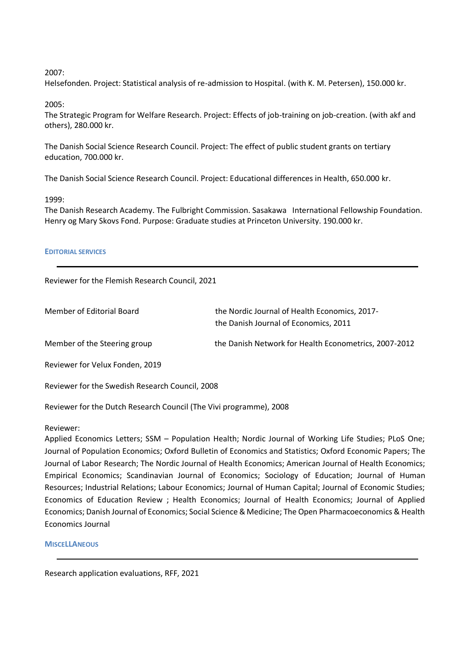2007:

Helsefonden. Project: Statistical analysis of re-admission to Hospital. (with K. M. Petersen), 150.000 kr.

2005:

The Strategic Program for Welfare Research. Project: Effects of job-training on job-creation. (with akf and others), 280.000 kr.

The Danish Social Science Research Council. Project: The effect of public student grants on tertiary education, 700.000 kr.

The Danish Social Science Research Council. Project: Educational differences in Health, 650.000 kr.

## 1999:

The Danish Research Academy. The Fulbright Commission. Sasakawa International Fellowship Foundation. Henry og Mary Skovs Fond. Purpose: Graduate studies at Princeton University. 190.000 kr.

#### **EDITORIAL SERVICES**

## Reviewer for the Flemish Research Council, 2021

| Member of Editorial Board       | the Nordic Journal of Health Economics, 2017-<br>the Danish Journal of Economics, 2011 |
|---------------------------------|----------------------------------------------------------------------------------------|
| Member of the Steering group    | the Danish Network for Health Econometrics, 2007-2012                                  |
| Reviewer for Velux Fonden, 2019 |                                                                                        |
|                                 |                                                                                        |

Reviewer for the Swedish Research Council, 2008

Reviewer for the Dutch Research Council (The Vivi programme), 2008

#### Reviewer:

Applied Economics Letters; SSM – Population Health; Nordic Journal of Working Life Studies; PLoS One; Journal of Population Economics; Oxford Bulletin of Economics and Statistics; Oxford Economic Papers; The Journal of Labor Research; The Nordic Journal of Health Economics; American Journal of Health Economics; Empirical Economics; Scandinavian Journal of Economics; Sociology of Education; Journal of Human Resources; Industrial Relations; Labour Economics; Journal of Human Capital; Journal of Economic Studies; Economics of Education Review ; Health Economics; Journal of Health Economics; Journal of Applied Economics; Danish Journal of Economics; Social Science & Medicine; The Open Pharmacoeconomics & Health Economics Journal

**MISCELLANEOUS**

Research application evaluations, RFF, 2021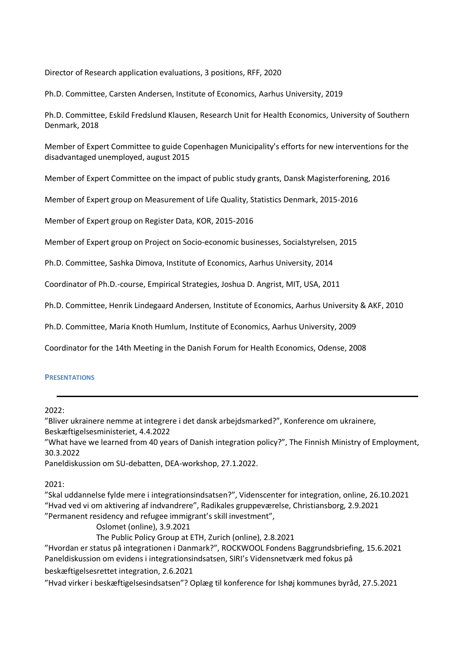Director of Research application evaluations, 3 positions, RFF, 2020

Ph.D. Committee, Carsten Andersen, Institute of Economics, Aarhus University, 2019

Ph.D. Committee, Eskild Fredslund Klausen, Research Unit for Health Economics, University of Southern Denmark, 2018

Member of Expert Committee to guide Copenhagen Municipality's efforts for new interventions for the disadvantaged unemployed, august 2015

Member of Expert Committee on the impact of public study grants, Dansk Magisterforening, 2016

Member of Expert group on Measurement of Life Quality, Statistics Denmark, 2015-2016

Member of Expert group on Register Data, KOR, 2015-2016

Member of Expert group on Project on Socio-economic businesses, Socialstyrelsen, 2015

Ph.D. Committee, Sashka Dimova, Institute of Economics, Aarhus University, 2014

Coordinator of Ph.D.-course, Empirical Strategies, Joshua D. Angrist, MIT, USA, 2011

Ph.D. Committee, Henrik Lindegaard Andersen, Institute of Economics, Aarhus University & AKF, 2010

Ph.D. Committee, Maria Knoth Humlum, Institute of Economics, Aarhus University, 2009

Coordinator for the 14th Meeting in the Danish Forum for Health Economics, Odense, 2008

#### **PRESENTATIONS**

2022:

"Bliver ukrainere nemme at integrere i det dansk arbejdsmarked?", Konference om ukrainere, Beskæftigelsesministeriet, 4.4.2022

"What have we learned from 40 years of Danish integration policy?", The Finnish Ministry of Employment, 30.3.2022

Paneldiskussion om SU-debatten, DEA-workshop, 27.1.2022.

2021:

"Skal uddannelse fylde mere i integrationsindsatsen?", Videnscenter for integration, online, 26.10.2021 "Hvad ved vi om aktivering af indvandrere", Radikales gruppeværelse, Christiansborg, 2.9.2021 "Permanent residency and refugee immigrant's skill investment",

Oslomet (online), 3.9.2021

The Public Policy Group at ETH, Zurich (online), 2.8.2021

"Hvordan er status på integrationen i Danmark?", ROCKWOOL Fondens Baggrundsbriefing, 15.6.2021 Paneldiskussion om evidens i integrationsindsatsen, SIRI's Vidensnetværk med fokus på beskæftigelsesrettet integration, 2.6.2021

"Hvad virker i beskæftigelsesindsatsen"? Oplæg til konference for Ishøj kommunes byråd, 27.5.2021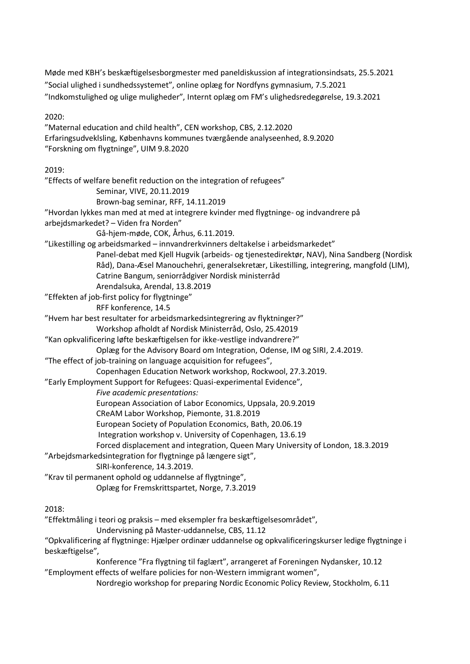Møde med KBH's beskæftigelsesborgmester med paneldiskussion af integrationsindsats, 25.5.2021 "Social ulighed i sundhedssystemet", online oplæg for Nordfyns gymnasium, 7.5.2021 "Indkomstulighed og ulige muligheder", Internt oplæg om FM's ulighedsredegørelse, 19.3.2021

# 2020:

"Maternal education and child health", CEN workshop, CBS, 2.12.2020 Erfaringsudveklsling, Københavns kommunes tværgående analyseenhed, 8.9.2020 "Forskning om flygtninge", UIM 9.8.2020 2019: "Effects of welfare benefit reduction on the integration of refugees" Seminar, VIVE, 20.11.2019 Brown-bag seminar, RFF, 14.11.2019 "Hvordan lykkes man med at med at integrere kvinder med flygtninge- og indvandrere på arbejdsmarkedet? – Viden fra Norden" Gå-hjem-møde, COK, Århus, 6.11.2019. "Likestilling og arbeidsmarked – innvandrerkvinners deltakelse i arbeidsmarkedet" Panel-debat med Kjell Hugvik (arbeids- og tjenestedirektør, NAV), Nina Sandberg (Nordisk Råd), Dana-Æsel Manouchehri, generalsekretær, Likestilling, integrering, mangfold (LIM), Catrine Bangum, seniorrådgiver Nordisk ministerråd Arendalsuka, Arendal, 13.8.2019 "Effekten af job-first policy for flygtninge" RFF konference, 14.5 "Hvem har best resultater for arbeidsmarkedsintegrering av flyktninger?" Workshop afholdt af Nordisk Ministerråd, Oslo, 25.42019 "Kan opkvalificering løfte beskæftigelsen for ikke-vestlige indvandrere?" Oplæg for the Advisory Board om Integration, Odense, IM og SIRI, 2.4.2019. "The effect of job-training on language acquisition for refugees", Copenhagen Education Network workshop, Rockwool, 27.3.2019. "Early Employment Support for Refugees: Quasi-experimental Evidence", *Five academic presentations:*  European Association of Labor Economics, Uppsala, 20.9.2019 CReAM Labor Workshop, Piemonte, 31.8.2019 European Society of Population Economics, Bath, 20.06.19 Integration workshop v. University of Copenhagen, 13.6.19 Forced displacement and integration, Queen Mary University of London, 18.3.2019 "Arbejdsmarkedsintegration for flygtninge på længere sigt", SIRI-konference, 14.3.2019. "Krav til permanent ophold og uddannelse af flygtninge", Oplæg for Fremskrittspartet, Norge, 7.3.2019

# 2018:

"Effektmåling i teori og praksis – med eksempler fra beskæftigelsesområdet", Undervisning på Master-uddannelse, CBS, 11.12 "Opkvalificering af flygtninge: Hjælper ordinær uddannelse og opkvalificeringskurser ledige flygtninge i beskæftigelse",

Konference "Fra flygtning til faglært", arrangeret af Foreningen Nydansker, 10.12 "Employment effects of welfare policies for non-Western immigrant women",

Nordregio workshop for preparing Nordic Economic Policy Review, Stockholm, 6.11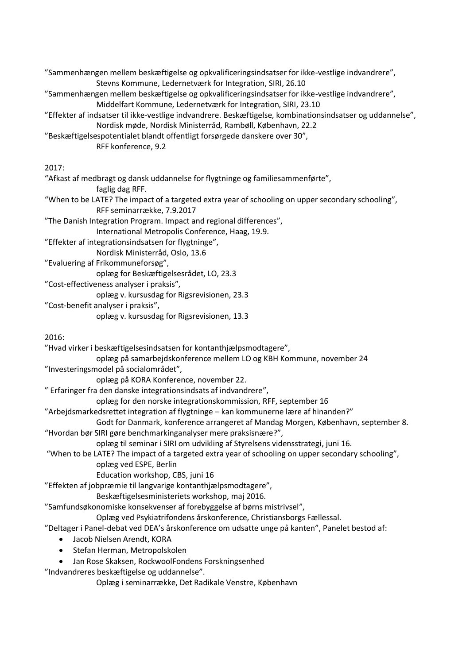"Sammenhængen mellem beskæftigelse og opkvalificeringsindsatser for ikke-vestlige indvandrere", Stevns Kommune, Ledernetværk for Integration, SIRI, 26.10

"Sammenhængen mellem beskæftigelse og opkvalificeringsindsatser for ikke-vestlige indvandrere", Middelfart Kommune, Ledernetværk for Integration, SIRI, 23.10

"Effekter af indsatser til ikke-vestlige indvandrere. Beskæftigelse, kombinationsindsatser og uddannelse", Nordisk møde, Nordisk Ministerråd, Rambøll, København, 22.2

"Beskæftigelsespotentialet blandt offentligt forsørgede danskere over 30", RFF konference, 9.2

# 2017:

"Afkast af medbragt og dansk uddannelse for flygtninge og familiesammenførte", faglig dag RFF. "When to be LATE? The impact of a targeted extra year of schooling on upper secondary schooling", RFF seminarrække, 7.9.2017 "The Danish Integration Program. Impact and regional differences", International Metropolis Conference, Haag, 19.9.

"Effekter af integrationsindsatsen for flygtninge",

Nordisk Ministerråd, Oslo, 13.6

"Evaluering af Frikommuneforsøg",

oplæg for Beskæftigelsesrådet, LO, 23.3

"Cost-effectiveness analyser i praksis",

oplæg v. kursusdag for Rigsrevisionen, 23.3

"Cost-benefit analyser i praksis",

```
oplæg v. kursusdag for Rigsrevisionen, 13.3
```
# 2016:

"Hvad virker i beskæftigelsesindsatsen for kontanthjælpsmodtagere",

oplæg på samarbejdskonference mellem LO og KBH Kommune, november 24

"Investeringsmodel på socialområdet",

oplæg på KORA Konference, november 22.

" Erfaringer fra den danske integrationsindsats af indvandrere",

oplæg for den norske integrationskommission, RFF, september 16

"Arbejdsmarkedsrettet integration af flygtninge – kan kommunerne lære af hinanden?"

- Godt for Danmark, konference arrangeret af Mandag Morgen, København, september 8.
- "Hvordan bør SIRI gøre benchmarkinganalyser mere praksisnære?",

oplæg til seminar i SIRI om udvikling af Styrelsens vidensstrategi, juni 16.

"When to be LATE? The impact of a targeted extra year of schooling on upper secondary schooling", oplæg ved ESPE, Berlin

Education workshop, CBS, juni 16

"Effekten af jobpræmie til langvarige kontanthjælpsmodtagere",

Beskæftigelsesministeriets workshop, maj 2016.

"Samfundsøkonomiske konsekvenser af forebyggelse af børns mistrivsel",

Oplæg ved Psykiatrifondens årskonference, Christiansborgs Fællessal.

"Deltager i Panel-debat ved DEA's årskonference om udsatte unge på kanten", Panelet bestod af:

- Jacob Nielsen Arendt, KORA
- Stefan Herman, Metropolskolen
- Jan Rose Skaksen, RockwoolFondens Forskningsenhed

"Indvandreres beskæftigelse og uddannelse".

Oplæg i seminarrække, Det Radikale Venstre, København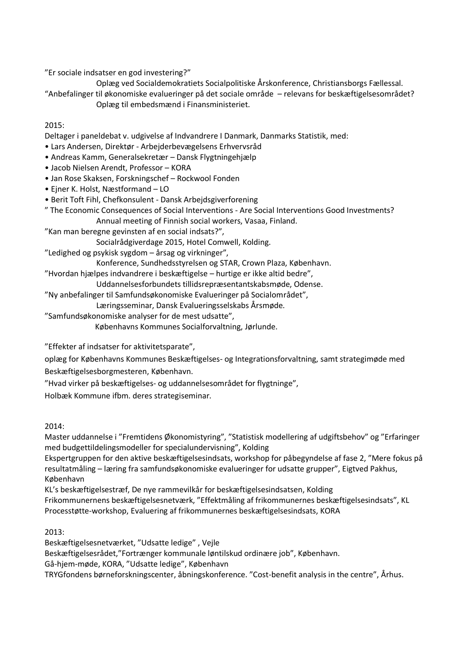"Er sociale indsatser en god investering?"

Oplæg ved Socialdemokratiets Socialpolitiske Årskonference, Christiansborgs Fællessal. "Anbefalinger til økonomiske evalueringer på det sociale område – relevans for beskæftigelsesområdet?

Oplæg til embedsmænd i Finansministeriet.

2015:

Deltager i paneldebat v. udgivelse af Indvandrere I Danmark, Danmarks Statistik, med:

- Lars Andersen, Direktør Arbejderbevægelsens Erhvervsråd
- Andreas Kamm, Generalsekretær Dansk Flygtningehjælp
- Jacob Nielsen Arendt, Professor KORA
- Jan Rose Skaksen, Forskningschef Rockwool Fonden
- Ejner K. Holst, Næstformand LO
- Berit Toft Fihl, Chefkonsulent Dansk Arbejdsgiverforening
- " The Economic Consequences of Social Interventions Are Social Interventions Good Investments? Annual meeting of Finnish social workers, Vasaa, Finland.
- "Kan man beregne gevinsten af en social indsats?",

Socialrådgiverdage 2015, Hotel Comwell, Kolding.

"Ledighed og psykisk sygdom – årsag og virkninger",

Konference, Sundhedsstyrelsen og STAR, Crown Plaza, København.

"Hvordan hjælpes indvandrere i beskæftigelse – hurtige er ikke altid bedre",

Uddannelsesforbundets tillidsrepræsentantskabsmøde, Odense.

"Ny anbefalinger til Samfundsøkonomiske Evalueringer på Socialområdet",

Læringsseminar, Dansk Evalueringsselskabs Årsmøde.

"Samfundsøkonomiske analyser for de mest udsatte",

Københavns Kommunes Socialforvaltning, Jørlunde.

"Effekter af indsatser for aktivitetsparate",

oplæg for Københavns Kommunes Beskæftigelses- og Integrationsforvaltning, samt strategimøde med Beskæftigelsesborgmesteren, København.

"Hvad virker på beskæftigelses- og uddannelsesområdet for flygtninge",

Holbæk Kommune ifbm. deres strategiseminar.

2014:

Master uddannelse i "Fremtidens Økonomistyring", "Statistisk modellering af udgiftsbehov" og "Erfaringer med budgettildelingsmodeller for specialundervisning", Kolding

Ekspertgruppen for den aktive beskæftigelsesindsats, workshop for påbegyndelse af fase 2, "Mere fokus på resultatmåling – læring fra samfundsøkonomiske evalueringer for udsatte grupper", Eigtved Pakhus, København

KL's beskæftigelsestræf, De nye rammevilkår for beskæftigelsesindsatsen, Kolding Frikommunernens beskæftigelsesnetværk, "Effektmåling af frikommunernes beskæftigelsesindsats", KL Processtøtte-workshop, Evaluering af frikommunernes beskæftigelsesindsats, KORA

2013:

Beskæftigelsesnetværket, "Udsatte ledige" , Vejle Beskæftigelsesrådet,"Fortrænger kommunale løntilskud ordinære job", København. Gå-hjem-møde, KORA, "Udsatte ledige", København TRYGfondens børneforskningscenter, åbningskonference. "Cost-benefit analysis in the centre", Århus.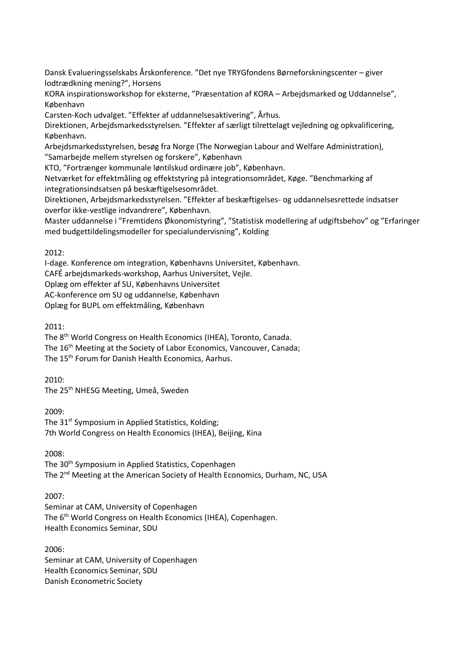Dansk Evalueringsselskabs Årskonference. "Det nye TRYGfondens Børneforskningscenter – giver lodtrædkning mening?", Horsens

KORA inspirationsworkshop for eksterne, "Præsentation af KORA – Arbejdsmarked og Uddannelse", København

Carsten-Koch udvalget. "Effekter af uddannelsesaktivering", Århus.

Direktionen, Arbejdsmarkedsstyrelsen. "Effekter af særligt tilrettelagt vejledning og opkvalificering, København.

Arbejdsmarkedsstyrelsen, besøg fra Norge (The Norwegian Labour and Welfare Administration), "Samarbejde mellem styrelsen og forskere", København

KTO, "Fortrænger kommunale løntilskud ordinære job", København.

Netværket for effektmåling og effektstyring på integrationsområdet, Køge. "Benchmarking af integrationsindsatsen på beskæftigelsesområdet.

Direktionen, Arbejdsmarkedsstyrelsen. "Effekter af beskæftigelses- og uddannelsesrettede indsatser overfor ikke-vestlige indvandrere", København.

Master uddannelse i "Fremtidens Økonomistyring", "Statistisk modellering af udgiftsbehov" og "Erfaringer med budgettildelingsmodeller for specialundervisning", Kolding

2012:

I-dage. Konference om integration, Københavns Universitet, København.

CAFÉ arbejdsmarkeds-workshop, Aarhus Universitet, Vejle.

Oplæg om effekter af SU, Københavns Universitet

AC-konference om SU og uddannelse, København

Oplæg for BUPL om effektmåling, København

 $2011$ 

The 8<sup>th</sup> World Congress on Health Economics (IHEA), Toronto, Canada.

The 16<sup>th</sup> Meeting at the Society of Labor Economics, Vancouver, Canada;

The 15th Forum for Danish Health Economics, Aarhus.

2010:

The 25th NHESG Meeting, Umeå, Sweden

2009:

The 31<sup>st</sup> Symposium in Applied Statistics, Kolding; 7th World Congress on Health Economics (IHEA), Beijing, Kina

2008:

The 30<sup>th</sup> Symposium in Applied Statistics, Copenhagen

The 2<sup>nd</sup> Meeting at the American Society of Health Economics, Durham, NC, USA

2007:

Seminar at CAM, University of Copenhagen The 6th World Congress on Health Economics (IHEA), Copenhagen. Health Economics Seminar, SDU

2006: Seminar at CAM, University of Copenhagen Health Economics Seminar, SDU Danish Econometric Society